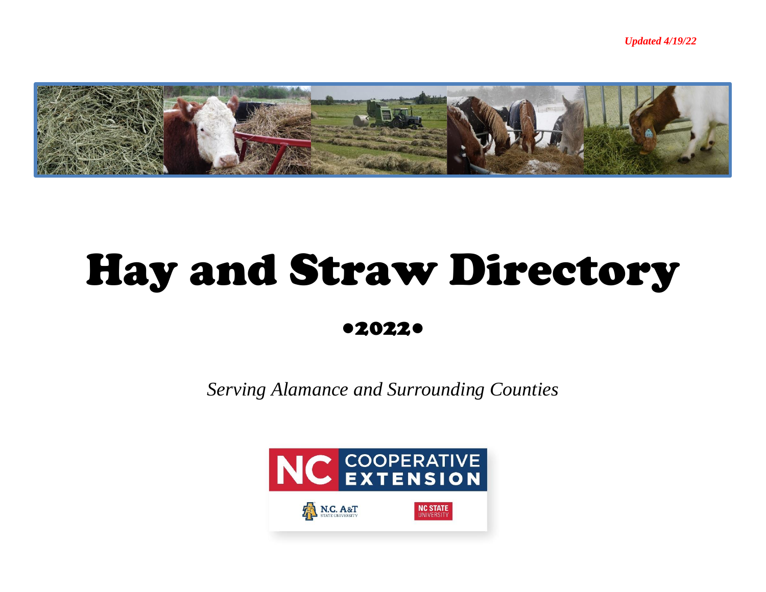

## Hay and Straw Directory

●2022●

*Serving Alamance and Surrounding Counties*

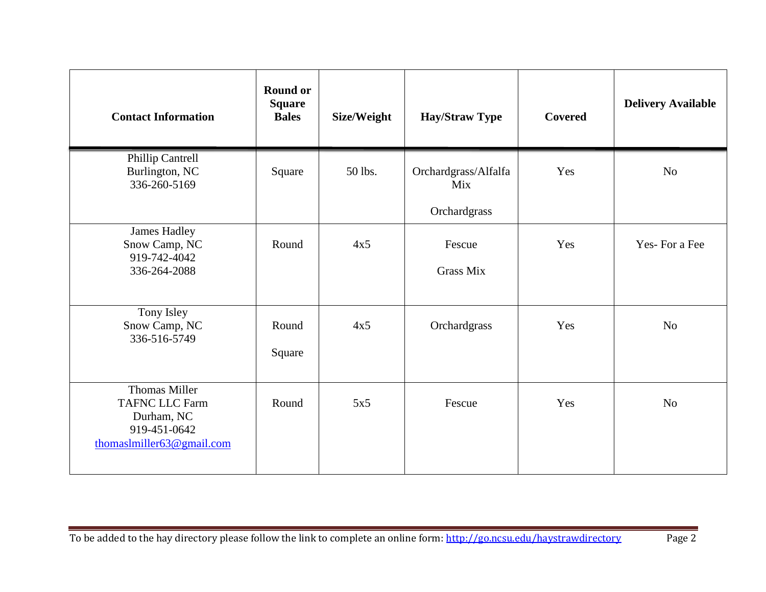| <b>Contact Information</b>                                                                               | <b>Round or</b><br><b>Square</b><br><b>Bales</b> | Size/Weight | <b>Hay/Straw Type</b>                       | Covered | <b>Delivery Available</b> |
|----------------------------------------------------------------------------------------------------------|--------------------------------------------------|-------------|---------------------------------------------|---------|---------------------------|
| <b>Phillip Cantrell</b><br>Burlington, NC<br>336-260-5169                                                | Square                                           | 50 lbs.     | Orchardgrass/Alfalfa<br>Mix<br>Orchardgrass | Yes     | No                        |
| <b>James Hadley</b><br>Snow Camp, NC<br>919-742-4042<br>336-264-2088                                     | Round                                            | 4x5         | Fescue<br><b>Grass Mix</b>                  | Yes     | Yes-For a Fee             |
| Tony Isley<br>Snow Camp, NC<br>336-516-5749                                                              | Round<br>Square                                  | 4x5         | Orchardgrass                                | Yes     | N <sub>o</sub>            |
| <b>Thomas Miller</b><br><b>TAFNC LLC Farm</b><br>Durham, NC<br>919-451-0642<br>thomaslmiller63@gmail.com | Round                                            | 5x5         | Fescue                                      | Yes     | N <sub>o</sub>            |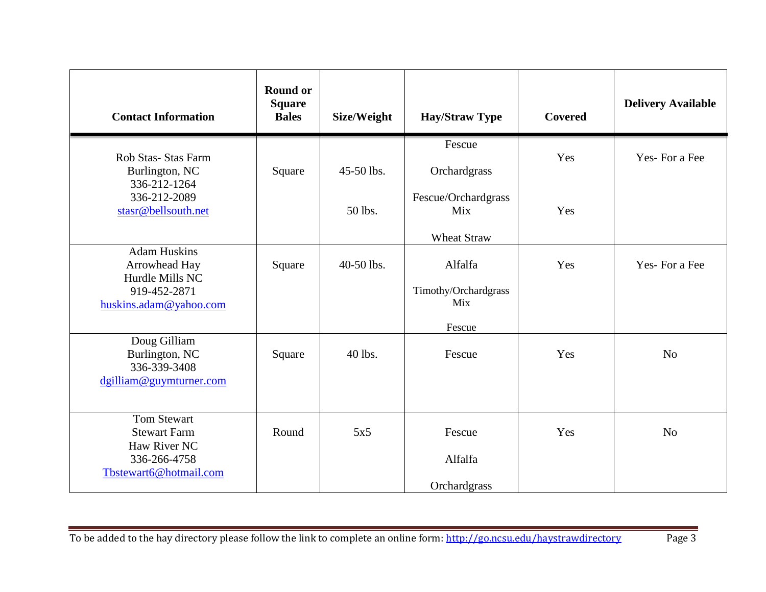| <b>Contact Information</b>                                                                          | <b>Round or</b><br><b>Square</b><br><b>Bales</b> | Size/Weight | <b>Hay/Straw Type</b>                            | <b>Covered</b> | <b>Delivery Available</b> |
|-----------------------------------------------------------------------------------------------------|--------------------------------------------------|-------------|--------------------------------------------------|----------------|---------------------------|
| Rob Stas- Stas Farm<br>Burlington, NC<br>336-212-1264                                               | Square                                           | 45-50 lbs.  | Fescue<br>Orchardgrass                           | Yes            | Yes-For a Fee             |
| 336-212-2089<br>stasr@bellsouth.net                                                                 |                                                  | 50 lbs.     | Fescue/Orchardgrass<br>Mix<br><b>Wheat Straw</b> | Yes            |                           |
| <b>Adam Huskins</b><br>Arrowhead Hay<br>Hurdle Mills NC<br>919-452-2871<br>huskins.adam@yahoo.com   | Square                                           | 40-50 lbs.  | Alfalfa<br>Timothy/Orchardgrass<br>Mix<br>Fescue | Yes            | Yes-For a Fee             |
| Doug Gilliam<br>Burlington, NC<br>336-339-3408<br>dgilliam@guymturner.com                           | Square                                           | 40 lbs.     | Fescue                                           | Yes            | N <sub>o</sub>            |
| <b>Tom Stewart</b><br><b>Stewart Farm</b><br>Haw River NC<br>336-266-4758<br>Tbstewart6@hotmail.com | Round                                            | 5x5         | Fescue<br>Alfalfa<br>Orchardgrass                | Yes            | N <sub>o</sub>            |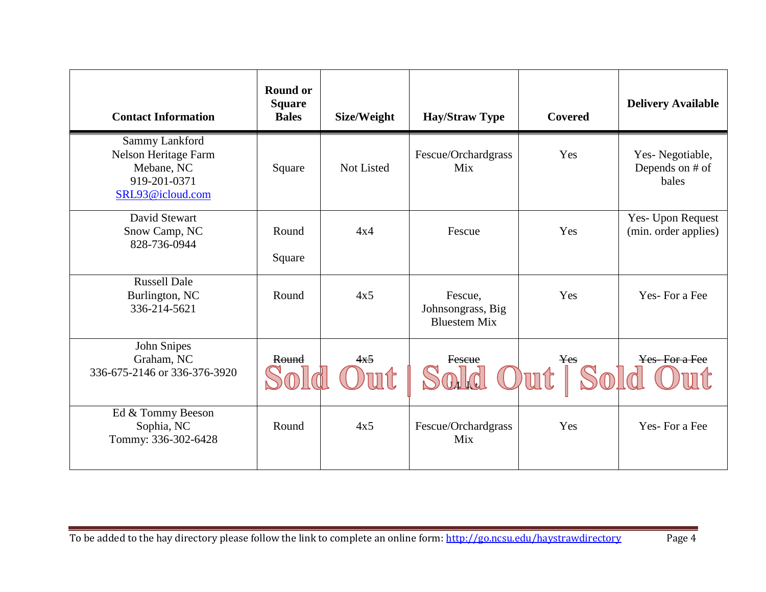| <b>Contact Information</b>                                                                      | <b>Round or</b><br><b>Square</b><br><b>Bales</b> | Size/Weight | <b>Hay/Straw Type</b>                               | <b>Covered</b>   | <b>Delivery Available</b>                   |
|-------------------------------------------------------------------------------------------------|--------------------------------------------------|-------------|-----------------------------------------------------|------------------|---------------------------------------------|
| <b>Sammy Lankford</b><br>Nelson Heritage Farm<br>Mebane, NC<br>919-201-0371<br>SRL93@icloud.com | Square                                           | Not Listed  | Fescue/Orchardgrass<br>Mix                          | Yes              | Yes-Negotiable,<br>Depends on # of<br>bales |
| David Stewart<br>Snow Camp, NC<br>828-736-0944                                                  | Round                                            | 4x4         | Fescue                                              | Yes              | Yes- Upon Request<br>(min. order applies)   |
|                                                                                                 | Square                                           |             |                                                     |                  |                                             |
| <b>Russell Dale</b><br>Burlington, NC<br>336-214-5621                                           | Round                                            | 4x5         | Fescue,<br>Johnsongrass, Big<br><b>Bluestem Mix</b> | Yes              | Yes-For a Fee                               |
| John Snipes<br>Graham, NC<br>336-675-2146 or 336-376-3920                                       | Round                                            | 4x5         | Fescue                                              | <b>Yes</b><br>ut | Yes-For a Fee                               |
| Ed & Tommy Beeson<br>Sophia, NC<br>Tommy: 336-302-6428                                          | Round                                            | 4x5         | Fescue/Orchardgrass<br>Mix                          | Yes              | Yes-For a Fee                               |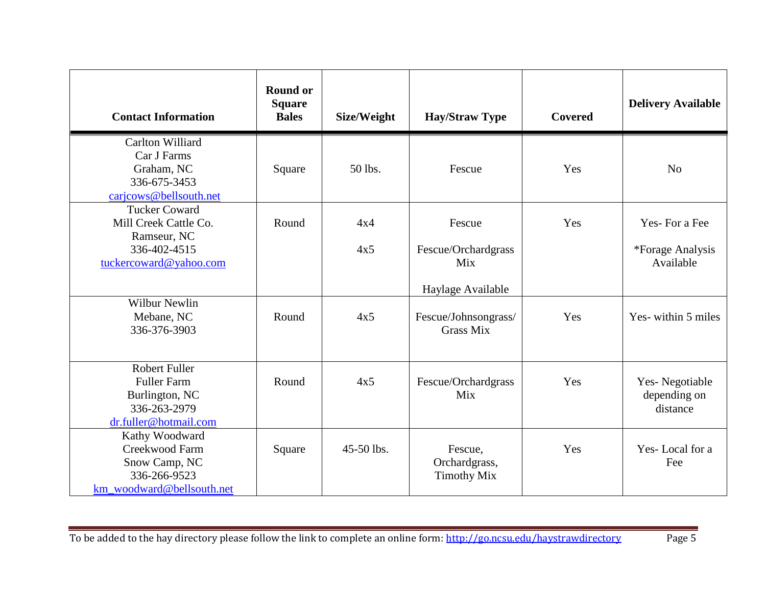| <b>Contact Information</b>                                                                             | <b>Round or</b><br><b>Square</b><br><b>Bales</b> | Size/Weight | <b>Hay/Straw Type</b>                          | <b>Covered</b> | <b>Delivery Available</b>                      |
|--------------------------------------------------------------------------------------------------------|--------------------------------------------------|-------------|------------------------------------------------|----------------|------------------------------------------------|
| Carlton Williard<br>Car J Farms<br>Graham, NC<br>336-675-3453<br>caricows@bellsouth.net                | Square                                           | 50 lbs.     | Fescue                                         | Yes            | N <sub>o</sub>                                 |
| <b>Tucker Coward</b><br>Mill Creek Cattle Co.<br>Ramseur, NC<br>336-402-4515<br>tuckercoward@yahoo.com | Round                                            | 4x4<br>4x5  | Fescue<br>Fescue/Orchardgrass<br>Mix           | Yes            | Yes-For a Fee<br>*Forage Analysis<br>Available |
| <b>Wilbur Newlin</b><br>Mebane, NC                                                                     | Round                                            | 4x5         | Haylage Available<br>Fescue/Johnsongrass/      | Yes            | Yes-within 5 miles                             |
| 336-376-3903                                                                                           |                                                  |             | <b>Grass Mix</b>                               |                |                                                |
| <b>Robert Fuller</b><br><b>Fuller Farm</b><br>Burlington, NC<br>336-263-2979<br>dr.fuller@hotmail.com  | Round                                            | 4x5         | Fescue/Orchardgrass<br>Mix                     | Yes            | Yes-Negotiable<br>depending on<br>distance     |
| Kathy Woodward<br>Creekwood Farm<br>Snow Camp, NC<br>336-266-9523<br>km_woodward@bellsouth.net         | Square                                           | 45-50 lbs.  | Fescue,<br>Orchardgrass,<br><b>Timothy Mix</b> | Yes            | Yes-Local for a<br>Fee                         |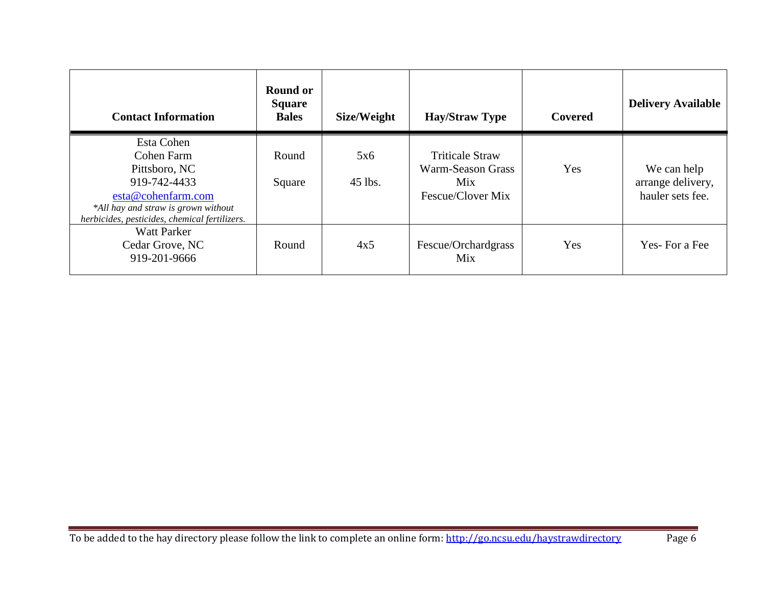| <b>Contact Information</b>                                                                                                                                              | <b>Round or</b><br><b>Square</b><br><b>Bales</b> | Size/Weight    | <b>Hay/Straw Type</b>                                                   | Covered | <b>Delivery Available</b>                            |
|-------------------------------------------------------------------------------------------------------------------------------------------------------------------------|--------------------------------------------------|----------------|-------------------------------------------------------------------------|---------|------------------------------------------------------|
| Esta Cohen<br>Cohen Farm<br>Pittsboro, NC<br>919-742-4433<br>esta@cohenfarm.com<br>*All hay and straw is grown without<br>herbicides, pesticides, chemical fertilizers. | Round<br>Square                                  | 5x6<br>45 lbs. | <b>Triticale Straw</b><br>Warm-Season Grass<br>Mix<br>Fescue/Clover Mix | Yes     | We can help<br>arrange delivery,<br>hauler sets fee. |
| <b>Watt Parker</b><br>Cedar Grove, NC<br>919-201-9666                                                                                                                   | Round                                            | 4x5            | Fescue/Orchardgrass<br>Mix                                              | Yes     | Yes-For a Fee                                        |